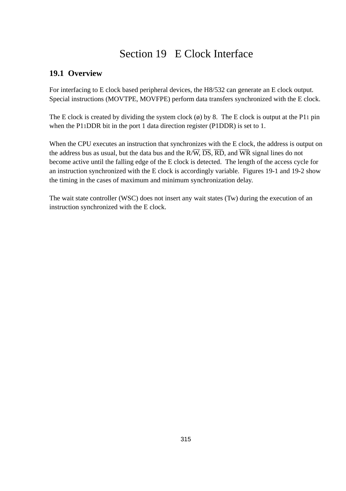## Section 19 E Clock Interface

## **19.1 Overview**

For interfacing to E clock based peripheral devices, the H8/532 can generate an E clock output. Special instructions (MOVTPE, MOVFPE) perform data transfers synchronized with the E clock.

The E clock is created by dividing the system clock  $(\emptyset)$  by 8. The E clock is output at the P11 pin when the P11DDR bit in the port 1 data direction register (P1DDR) is set to 1.

When the CPU executes an instruction that synchronizes with the E clock, the address is output on the address bus as usual, but the data bus and the  $R/\overline{W}$ ,  $\overline{DS}$ ,  $\overline{RD}$ , and  $\overline{WR}$  signal lines do not become active until the falling edge of the E clock is detected. The length of the access cycle for an instruction synchronized with the E clock is accordingly variable. Figures 19-1 and 19-2 show the timing in the cases of maximum and minimum synchronization delay.

The wait state controller (WSC) does not insert any wait states (Tw) during the execution of an instruction synchronized with the E clock.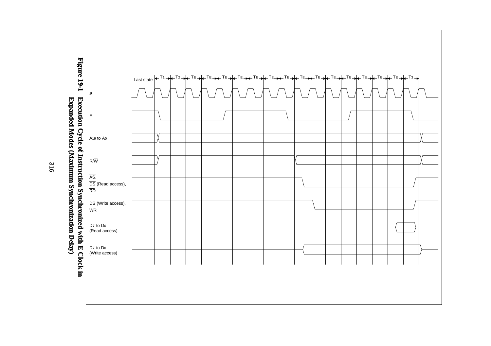